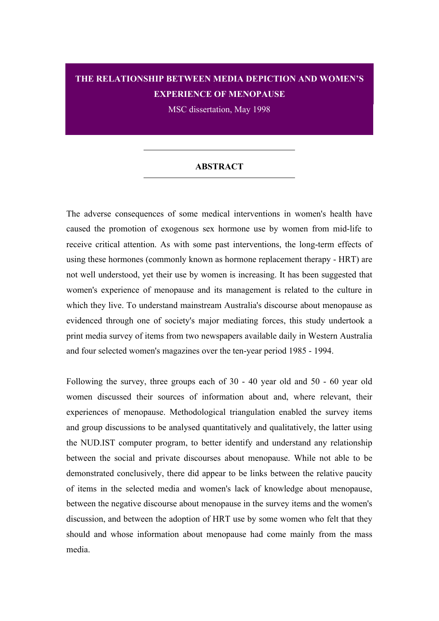## **THE RELATIONSHIP BETWEEN MEDIA DEPICTION AND WOMEN'S EXPERIENCE OF MENOPAUSE**

MSC dissertation, May 1998

## **ABSTRACT**

The adverse consequences of some medical interventions in women's health have caused the promotion of exogenous sex hormone use by women from mid-life to receive critical attention. As with some past interventions, the long-term effects of using these hormones (commonly known as hormone replacement therapy - HRT) are not well understood, yet their use by women is increasing. It has been suggested that women's experience of menopause and its management is related to the culture in which they live. To understand mainstream Australia's discourse about menopause as evidenced through one of society's major mediating forces, this study undertook a print media survey of items from two newspapers available daily in Western Australia and four selected women's magazines over the ten-year period 1985 - 1994.

Following the survey, three groups each of 30 - 40 year old and 50 - 60 year old women discussed their sources of information about and, where relevant, their experiences of menopause. Methodological triangulation enabled the survey items and group discussions to be analysed quantitatively and qualitatively, the latter using the NUD.IST computer program, to better identify and understand any relationship between the social and private discourses about menopause. While not able to be demonstrated conclusively, there did appear to be links between the relative paucity of items in the selected media and women's lack of knowledge about menopause, between the negative discourse about menopause in the survey items and the women's discussion, and between the adoption of HRT use by some women who felt that they should and whose information about menopause had come mainly from the mass media.